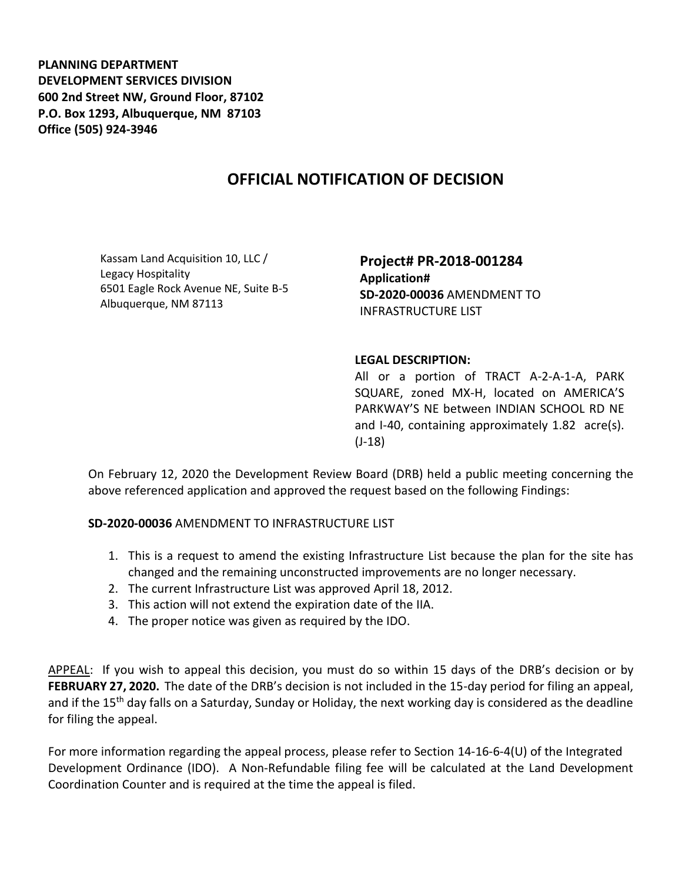**PLANNING DEPARTMENT DEVELOPMENT SERVICES DIVISION 600 2nd Street NW, Ground Floor, 87102 P.O. Box 1293, Albuquerque, NM 87103 Office (505) 924-3946** 

## **OFFICIAL NOTIFICATION OF DECISION**

Kassam Land Acquisition 10, LLC / Legacy Hospitality 6501 Eagle Rock Avenue NE, Suite B-5 Albuquerque, NM 87113

**Project# PR-2018-001284 Application# SD-2020-00036** AMENDMENT TO INFRASTRUCTURE LIST

## **LEGAL DESCRIPTION:**

All or a portion of TRACT A-2-A-1-A, PARK SQUARE, zoned MX-H, located on AMERICA'S PARKWAY'S NE between INDIAN SCHOOL RD NE and I-40, containing approximately 1.82 acre(s). (J-18)

On February 12, 2020 the Development Review Board (DRB) held a public meeting concerning the above referenced application and approved the request based on the following Findings:

**SD-2020-00036** AMENDMENT TO INFRASTRUCTURE LIST

- 1. This is a request to amend the existing Infrastructure List because the plan for the site has changed and the remaining unconstructed improvements are no longer necessary.
- 2. The current Infrastructure List was approved April 18, 2012.
- 3. This action will not extend the expiration date of the IIA.
- 4. The proper notice was given as required by the IDO.

APPEAL: If you wish to appeal this decision, you must do so within 15 days of the DRB's decision or by **FEBRUARY 27, 2020.** The date of the DRB's decision is not included in the 15-day period for filing an appeal, and if the 15<sup>th</sup> day falls on a Saturday, Sunday or Holiday, the next working day is considered as the deadline for filing the appeal.

For more information regarding the appeal process, please refer to Section 14-16-6-4(U) of the Integrated Development Ordinance (IDO). A Non-Refundable filing fee will be calculated at the Land Development Coordination Counter and is required at the time the appeal is filed.